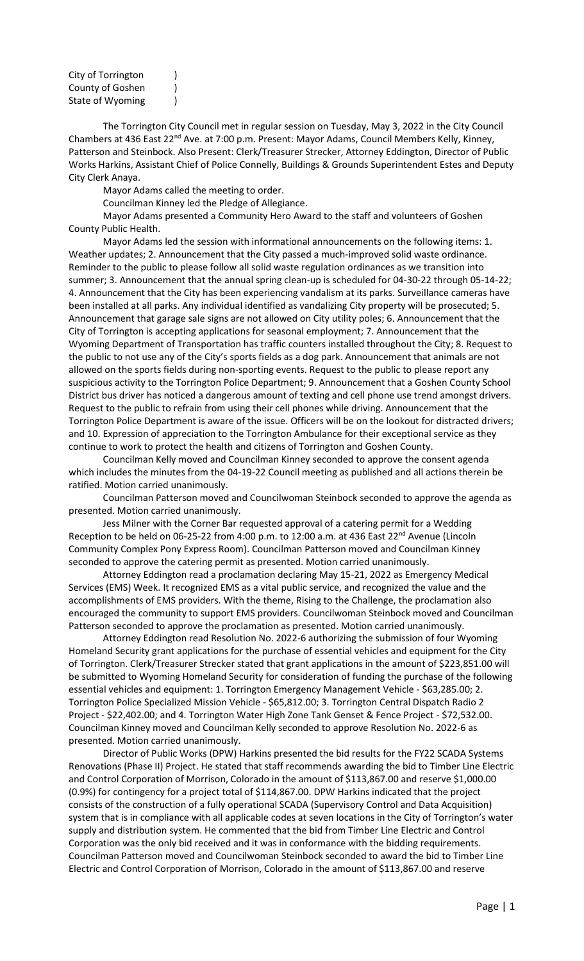| City of Torrington |  |
|--------------------|--|
| County of Goshen   |  |
| State of Wyoming   |  |

The Torrington City Council met in regular session on Tuesday, May 3, 2022 in the City Council Chambers at 436 East 22<sup>nd</sup> Ave. at 7:00 p.m. Present: Mayor Adams, Council Members Kelly, Kinney, Patterson and Steinbock. Also Present: Clerk/Treasurer Strecker, Attorney Eddington, Director of Public Works Harkins, Assistant Chief of Police Connelly, Buildings & Grounds Superintendent Estes and Deputy City Clerk Anaya.

Mayor Adams called the meeting to order.

Councilman Kinney led the Pledge of Allegiance.

Mayor Adams presented a Community Hero Award to the staff and volunteers of Goshen County Public Health.

Mayor Adams led the session with informational announcements on the following items: 1. Weather updates; 2. Announcement that the City passed a much-improved solid waste ordinance. Reminder to the public to please follow all solid waste regulation ordinances as we transition into summer; 3. Announcement that the annual spring clean-up is scheduled for 04-30-22 through 05-14-22; 4. Announcement that the City has been experiencing vandalism at its parks. Surveillance cameras have been installed at all parks. Any individual identified as vandalizing City property will be prosecuted; 5. Announcement that garage sale signs are not allowed on City utility poles; 6. Announcement that the City of Torrington is accepting applications for seasonal employment; 7. Announcement that the Wyoming Department of Transportation has traffic counters installed throughout the City; 8. Request to the public to not use any of the City's sports fields as a dog park. Announcement that animals are not allowed on the sports fields during non-sporting events. Request to the public to please report any suspicious activity to the Torrington Police Department; 9. Announcement that a Goshen County School District bus driver has noticed a dangerous amount of texting and cell phone use trend amongst drivers. Request to the public to refrain from using their cell phones while driving. Announcement that the Torrington Police Department is aware of the issue. Officers will be on the lookout for distracted drivers; and 10. Expression of appreciation to the Torrington Ambulance for their exceptional service as they continue to work to protect the health and citizens of Torrington and Goshen County.

Councilman Kelly moved and Councilman Kinney seconded to approve the consent agenda which includes the minutes from the 04-19-22 Council meeting as published and all actions therein be ratified. Motion carried unanimously.

Councilman Patterson moved and Councilwoman Steinbock seconded to approve the agenda as presented. Motion carried unanimously.

Jess Milner with the Corner Bar requested approval of a catering permit for a Wedding Reception to be held on 06-25-22 from 4:00 p.m. to 12:00 a.m. at 436 East 22<sup>nd</sup> Avenue (Lincoln Community Complex Pony Express Room). Councilman Patterson moved and Councilman Kinney seconded to approve the catering permit as presented. Motion carried unanimously.

Attorney Eddington read a proclamation declaring May 15-21, 2022 as Emergency Medical Services (EMS) Week. It recognized EMS as a vital public service, and recognized the value and the accomplishments of EMS providers. With the theme, Rising to the Challenge, the proclamation also encouraged the community to support EMS providers. Councilwoman Steinbock moved and Councilman Patterson seconded to approve the proclamation as presented. Motion carried unanimously.

Attorney Eddington read Resolution No. 2022-6 authorizing the submission of four Wyoming Homeland Security grant applications for the purchase of essential vehicles and equipment for the City of Torrington. Clerk/Treasurer Strecker stated that grant applications in the amount of \$223,851.00 will be submitted to Wyoming Homeland Security for consideration of funding the purchase of the following essential vehicles and equipment: 1. Torrington Emergency Management Vehicle - \$63,285.00; 2. Torrington Police Specialized Mission Vehicle - \$65,812.00; 3. Torrington Central Dispatch Radio 2 Project - \$22,402.00; and 4. Torrington Water High Zone Tank Genset & Fence Project - \$72,532.00. Councilman Kinney moved and Councilman Kelly seconded to approve Resolution No. 2022-6 as presented. Motion carried unanimously.

Director of Public Works (DPW) Harkins presented the bid results for the FY22 SCADA Systems Renovations (Phase II) Project. He stated that staff recommends awarding the bid to Timber Line Electric and Control Corporation of Morrison, Colorado in the amount of \$113,867.00 and reserve \$1,000.00 (0.9%) for contingency for a project total of \$114,867.00. DPW Harkins indicated that the project consists of the construction of a fully operational SCADA (Supervisory Control and Data Acquisition) system that is in compliance with all applicable codes at seven locations in the City of Torrington's water supply and distribution system. He commented that the bid from Timber Line Electric and Control Corporation was the only bid received and it was in conformance with the bidding requirements. Councilman Patterson moved and Councilwoman Steinbock seconded to award the bid to Timber Line Electric and Control Corporation of Morrison, Colorado in the amount of \$113,867.00 and reserve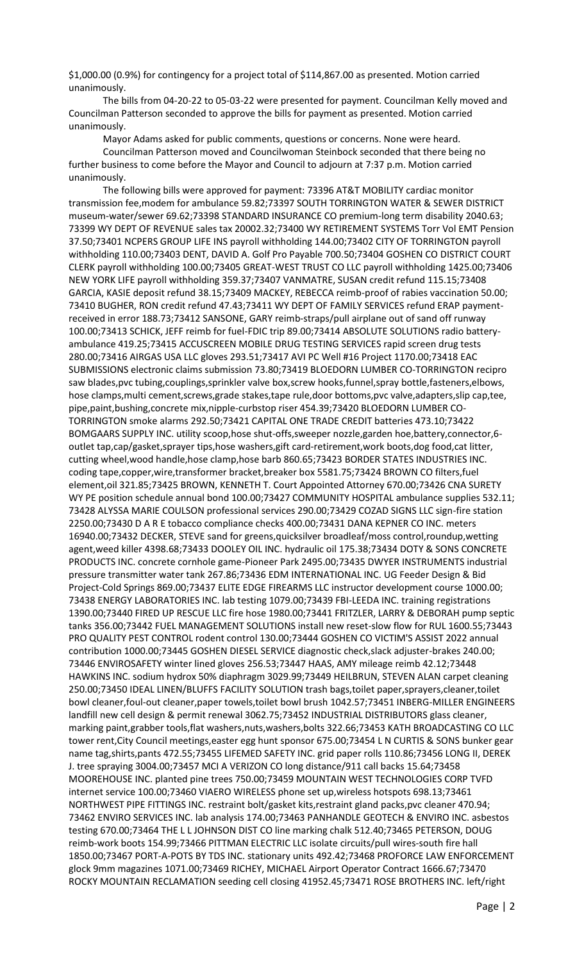\$1,000.00 (0.9%) for contingency for a project total of \$114,867.00 as presented. Motion carried unanimously.

The bills from 04-20-22 to 05-03-22 were presented for payment. Councilman Kelly moved and Councilman Patterson seconded to approve the bills for payment as presented. Motion carried unanimously.

Mayor Adams asked for public comments, questions or concerns. None were heard. Councilman Patterson moved and Councilwoman Steinbock seconded that there being no further business to come before the Mayor and Council to adjourn at 7:37 p.m. Motion carried unanimously.

The following bills were approved for payment: 73396 AT&T MOBILITY cardiac monitor transmission fee,modem for ambulance 59.82;73397 SOUTH TORRINGTON WATER & SEWER DISTRICT museum-water/sewer 69.62;73398 STANDARD INSURANCE CO premium-long term disability 2040.63; 73399 WY DEPT OF REVENUE sales tax 20002.32;73400 WY RETIREMENT SYSTEMS Torr Vol EMT Pension 37.50;73401 NCPERS GROUP LIFE INS payroll withholding 144.00;73402 CITY OF TORRINGTON payroll withholding 110.00;73403 DENT, DAVID A. Golf Pro Payable 700.50;73404 GOSHEN CO DISTRICT COURT CLERK payroll withholding 100.00;73405 GREAT-WEST TRUST CO LLC payroll withholding 1425.00;73406 NEW YORK LIFE payroll withholding 359.37;73407 VANMATRE, SUSAN credit refund 115.15;73408 GARCIA, KASIE deposit refund 38.15;73409 MACKEY, REBECCA reimb-proof of rabies vaccination 50.00; 73410 BUGHER, RON credit refund 47.43;73411 WY DEPT OF FAMILY SERVICES refund ERAP paymentreceived in error 188.73;73412 SANSONE, GARY reimb-straps/pull airplane out of sand off runway 100.00;73413 SCHICK, JEFF reimb for fuel-FDIC trip 89.00;73414 ABSOLUTE SOLUTIONS radio batteryambulance 419.25;73415 ACCUSCREEN MOBILE DRUG TESTING SERVICES rapid screen drug tests 280.00;73416 AIRGAS USA LLC gloves 293.51;73417 AVI PC Well #16 Project 1170.00;73418 EAC SUBMISSIONS electronic claims submission 73.80;73419 BLOEDORN LUMBER CO-TORRINGTON recipro saw blades,pvc tubing,couplings,sprinkler valve box,screw hooks,funnel,spray bottle,fasteners,elbows, hose clamps,multi cement,screws,grade stakes,tape rule,door bottoms,pvc valve,adapters,slip cap,tee, pipe,paint,bushing,concrete mix,nipple-curbstop riser 454.39;73420 BLOEDORN LUMBER CO-TORRINGTON smoke alarms 292.50;73421 CAPITAL ONE TRADE CREDIT batteries 473.10;73422 BOMGAARS SUPPLY INC. utility scoop,hose shut-offs,sweeper nozzle,garden hoe,battery,connector,6 outlet tap,cap/gasket,sprayer tips,hose washers,gift card-retirement,work boots,dog food,cat litter, cutting wheel,wood handle,hose clamp,hose barb 860.65;73423 BORDER STATES INDUSTRIES INC. coding tape,copper,wire,transformer bracket,breaker box 5581.75;73424 BROWN CO filters,fuel element,oil 321.85;73425 BROWN, KENNETH T. Court Appointed Attorney 670.00;73426 CNA SURETY WY PE position schedule annual bond 100.00;73427 COMMUNITY HOSPITAL ambulance supplies 532.11; 73428 ALYSSA MARIE COULSON professional services 290.00;73429 COZAD SIGNS LLC sign-fire station 2250.00;73430 D A R E tobacco compliance checks 400.00;73431 DANA KEPNER CO INC. meters 16940.00;73432 DECKER, STEVE sand for greens,quicksilver broadleaf/moss control,roundup,wetting agent,weed killer 4398.68;73433 DOOLEY OIL INC. hydraulic oil 175.38;73434 DOTY & SONS CONCRETE PRODUCTS INC. concrete cornhole game-Pioneer Park 2495.00;73435 DWYER INSTRUMENTS industrial pressure transmitter water tank 267.86;73436 EDM INTERNATIONAL INC. UG Feeder Design & Bid Project-Cold Springs 869.00;73437 ELITE EDGE FIREARMS LLC instructor development course 1000.00; 73438 ENERGY LABORATORIES INC. lab testing 1079.00;73439 FBI-LEEDA INC. training registrations 1390.00;73440 FIRED UP RESCUE LLC fire hose 1980.00;73441 FRITZLER, LARRY & DEBORAH pump septic tanks 356.00;73442 FUEL MANAGEMENT SOLUTIONS install new reset-slow flow for RUL 1600.55;73443 PRO QUALITY PEST CONTROL rodent control 130.00;73444 GOSHEN CO VICTIM'S ASSIST 2022 annual contribution 1000.00;73445 GOSHEN DIESEL SERVICE diagnostic check,slack adjuster-brakes 240.00; 73446 ENVIROSAFETY winter lined gloves 256.53;73447 HAAS, AMY mileage reimb 42.12;73448 HAWKINS INC. sodium hydrox 50% diaphragm 3029.99;73449 HEILBRUN, STEVEN ALAN carpet cleaning 250.00;73450 IDEAL LINEN/BLUFFS FACILITY SOLUTION trash bags,toilet paper,sprayers,cleaner,toilet bowl cleaner,foul-out cleaner,paper towels,toilet bowl brush 1042.57;73451 INBERG-MILLER ENGINEERS landfill new cell design & permit renewal 3062.75;73452 INDUSTRIAL DISTRIBUTORS glass cleaner, marking paint,grabber tools,flat washers,nuts,washers,bolts 322.66;73453 KATH BROADCASTING CO LLC tower rent,City Council meetings,easter egg hunt sponsor 675.00;73454 L N CURTIS & SONS bunker gear name tag,shirts,pants 472.55;73455 LIFEMED SAFETY INC. grid paper rolls 110.86;73456 LONG II, DEREK J. tree spraying 3004.00;73457 MCI A VERIZON CO long distance/911 call backs 15.64;73458 MOOREHOUSE INC. planted pine trees 750.00;73459 MOUNTAIN WEST TECHNOLOGIES CORP TVFD internet service 100.00;73460 VIAERO WIRELESS phone set up,wireless hotspots 698.13;73461 NORTHWEST PIPE FITTINGS INC. restraint bolt/gasket kits,restraint gland packs,pvc cleaner 470.94; 73462 ENVIRO SERVICES INC. lab analysis 174.00;73463 PANHANDLE GEOTECH & ENVIRO INC. asbestos testing 670.00;73464 THE L L JOHNSON DIST CO line marking chalk 512.40;73465 PETERSON, DOUG reimb-work boots 154.99;73466 PITTMAN ELECTRIC LLC isolate circuits/pull wires-south fire hall 1850.00;73467 PORT-A-POTS BY TDS INC. stationary units 492.42;73468 PROFORCE LAW ENFORCEMENT glock 9mm magazines 1071.00;73469 RICHEY, MICHAEL Airport Operator Contract 1666.67;73470 ROCKY MOUNTAIN RECLAMATION seeding cell closing 41952.45;73471 ROSE BROTHERS INC. left/right